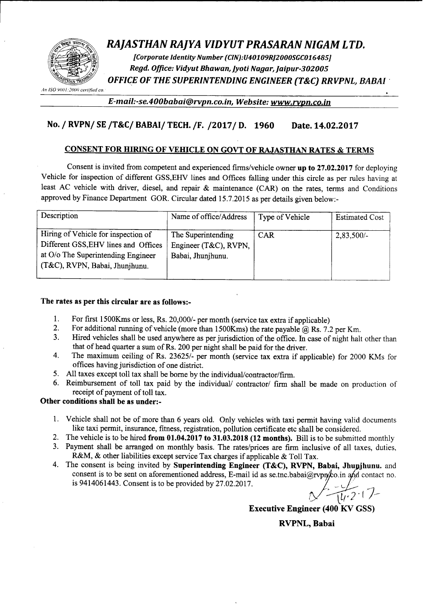

# *RAJASTHAN RAJYA VIDYUT PRASARAN NIGAM LTD.*

*[Corporate Identity Number (CIN):U40109R]2000SGC016485] Regd. Office: Vidyut Bhawan, jyoti Nagar, Jaipur-302005 OFFICE OF THE SUPERINTENDING ENGINEER (T&C) RRVPNL, BABAl .*

*All ISO* 91111I *:]IIl/1) certified co,*

*E-mail:-se.400babai@rvpn.co.in. Website:www.rypn.co.in*

# No. *I* RVPNI SE *IT&CI BABAII* TECH.*IF. 120171* D. 1960 Date. 14.02.2017

## CONSENT FOR HIRING OF VEHICLE ON GOVT OF RAJASTHAN RATES & TERMS

Consent is invited from competent and experienced frrms/vehicle owner up to 27.02.2017 for deploying Vehicle for inspection of different GSS,EHV lines and Offices falling under this circle as per rules having at least AC vehicle with driver, diesel, and repair & maintenance (CAR) on the rates, terms and Conditions approved by Finance Department GOR. Circular dated 15.7.2015 as per details given below:-

| Description                                                                                                                                         | Name of office/Address                                           | Type of Vehicle | <b>Estimated Cost</b> |
|-----------------------------------------------------------------------------------------------------------------------------------------------------|------------------------------------------------------------------|-----------------|-----------------------|
| Hiring of Vehicle for inspection of<br>Different GSS, EHV lines and Offices<br>at O/o The Superintending Engineer<br>(T&C), RVPN, Babai, Jhunjhunu. | The Superintending<br>Engineer (T&C), RVPN,<br>Babai, Jhunjhunu. | CAR             | $2,83,500/-$          |

#### The rates as per this circular are as follows:-

- 1. For first 1500Kms or less, Rs. 20,000/- per month (service tax extra if applicable)<br>2. For additional running of vehicle (more than 1500Kms) the rate navable  $\omega$  Rs. 7.
- For additional running of vehicle (more than 1500Kms) the rate payable  $@$  Rs. 7.2 per Km.
- 3. Hired vehicles shall be used anywhere as per jurisdiction of the office. In case of night halt other than that of head quarter a sum of Rs. 200 per night shall be paid for the driver.
- 4. The maximum ceiling of Rs. 23625/- per month (service tax extra if applicable) for 2000 KMs for offices having jurisdiction of one district.
- 5. All taxes except toll tax shall be borne by the individual/contractor/firm.
- 6. Reimbursement of toll tax paid by the individual/ contractor/ firm shall be made on production of receipt of payment of toll tax.

### Other conditions shall be as under:-

- 1. Vehicle shall not be of more than 6 years old. Only vehicles with taxi permit having valid documents like taxi permit, insurance, fitness, registration, pollution certificate etc shall be considered.
- 2. The vehicle is to be hired from 01.04.2017 to 31.03.2018 (12 months). Bill is to be submitted monthly
- 3. Payment shall be arranged on monthly basis. The rates/prices are firm inclusive of all taxes, duties, R&M, & other liabilities except service Tax charges if applicable & Toll Tax.
- 4. The consent is being invited by Superintending Engineer (T&C), RVPN, Babai, Jhunjhunu. and consent is to be sent on aforementioned address, E-mail id as se.tnc.babai@rvpn/co.in and contact no. is 9414061443. Consent is to be provided by  $27.02.2017$ .

 $\frac{1}{1122}$ .  $7-$ 

Executive Engineer (400 KV GSS)

RVPNL, Babai